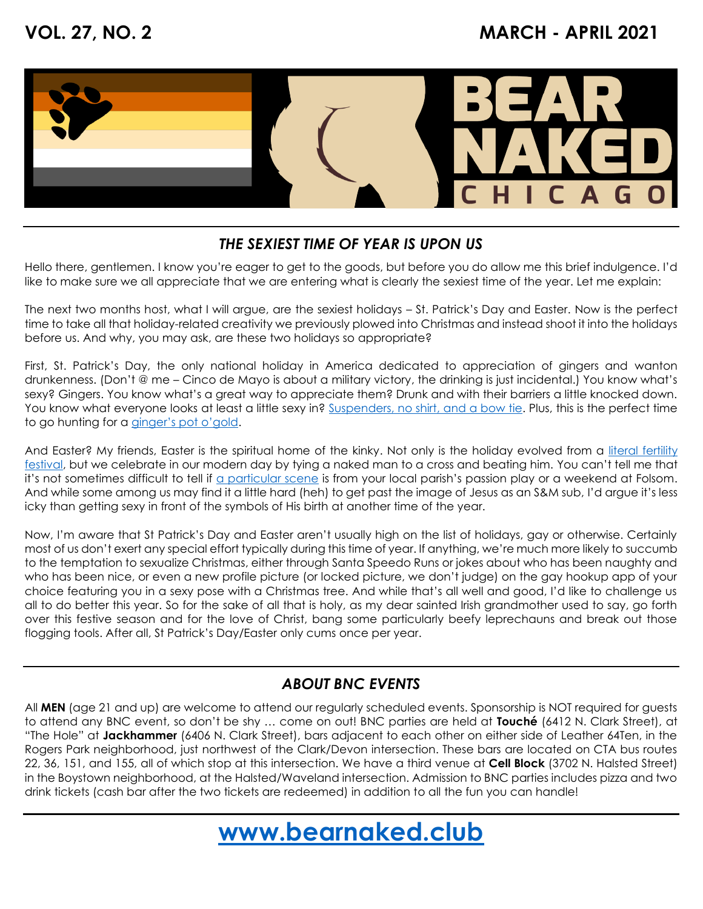

## *THE SEXIEST TIME OF YEAR IS UPON US*

Hello there, gentlemen. I know you're eager to get to the goods, but before you do allow me this brief indulgence. I'd like to make sure we all appreciate that we are entering what is clearly the sexiest time of the year. Let me explain:

The next two months host, what I will argue, are the sexiest holidays – St. Patrick's Day and Easter. Now is the perfect time to take all that holiday-related creativity we previously plowed into Christmas and instead shoot it into the holidays before us. And why, you may ask, are these two holidays so appropriate?

First, St. Patrick's Day, the only national holiday in America dedicated to appreciation of gingers and wanton drunkenness. (Don't @ me – Cinco de Mayo is about a military victory, the drinking is just incidental.) You know what's sexy? Gingers. You know what's a great way to appreciate them? Drunk and with their barriers a little knocked down. You know what everyone looks at least a little sexy in? [Suspenders, no shirt, and a bow tie.](https://i.pinimg.com/originals/a9/e2/1f/a9e21fa01096dd2f89d618dfbf2a1e80.jpg) Plus, this is the perfect time to go hunting for a [ginger's pot o'gold](https://bosguydotcom.files.wordpress.com/2013/03/st-paddys-day.jpg?w=584).

And Easter? My friends, Easter is the spiritual home of the kinky. Not only is the holiday evolved from a [literal fertility](https://blogs.scientificamerican.com/anthropology-in-practice/beyond-ishtar-the-tradition-of-eggs-at-easter/#:~:text=Easter%20was%20originally%20the%20celebration,goddess%20of%20fertility%20and%20sex.&text=Ishtar%20was%20the%20goddess%20of,also%20an%20element%20of%20power.) [festival,](https://blogs.scientificamerican.com/anthropology-in-practice/beyond-ishtar-the-tradition-of-eggs-at-easter/#:~:text=Easter%20was%20originally%20the%20celebration,goddess%20of%20fertility%20and%20sex.&text=Ishtar%20was%20the%20goddess%20of,also%20an%20element%20of%20power.) but we celebrate in our modern day by tying a naked man to a cross and beating him. You can't tell me that it's not sometimes difficult to tell if [a particular scene](https://cdn-www.mandatory.com/assets/uploads/2014/02/Passion-flogging.jpg) is from your local parish's passion play or a weekend at Folsom. And while some among us may find it a little hard (heh) to get past the image of Jesus as an S&M sub, I'd argue it's less icky than getting sexy in front of the symbols of His birth at another time of the year.

Now, I'm aware that St Patrick's Day and Easter aren't usually high on the list of holidays, gay or otherwise. Certainly most of us don't exert any special effort typically during this time of year. If anything, we're much more likely to succumb to the temptation to sexualize Christmas, either through Santa Speedo Runs or jokes about who has been naughty and who has been nice, or even a new profile picture (or locked picture, we don't judge) on the gay hookup app of your choice featuring you in a sexy pose with a Christmas tree. And while that's all well and good, I'd like to challenge us all to do better this year. So for the sake of all that is holy, as my dear sainted Irish grandmother used to say, go forth over this festive season and for the love of Christ, bang some particularly beefy leprechauns and break out those flogging tools. After all, St Patrick's Day/Easter only cums once per year.

## *ABOUT BNC EVENTS*

All **MEN** (age 21 and up) are welcome to attend our regularly scheduled events. Sponsorship is NOT required for guests to attend any BNC event, so don't be shy … come on out! BNC parties are held at **Touché** (6412 N. Clark Street), at "The Hole" at **Jackhammer** (6406 N. Clark Street), bars adjacent to each other on either side of Leather 64Ten, in the Rogers Park neighborhood, just northwest of the Clark/Devon intersection. These bars are located on CTA bus routes 22, 36, 151, and 155, all of which stop at this intersection. We have a third venue at **Cell Block** (3702 N. Halsted Street) in the Boystown neighborhood, at the Halsted/Waveland intersection. Admission to BNC parties includes pizza and two drink tickets (cash bar after the two tickets are redeemed) in addition to all the fun you can handle!

# **[www.bearnaked.club](http://www.bearnaked.club/)**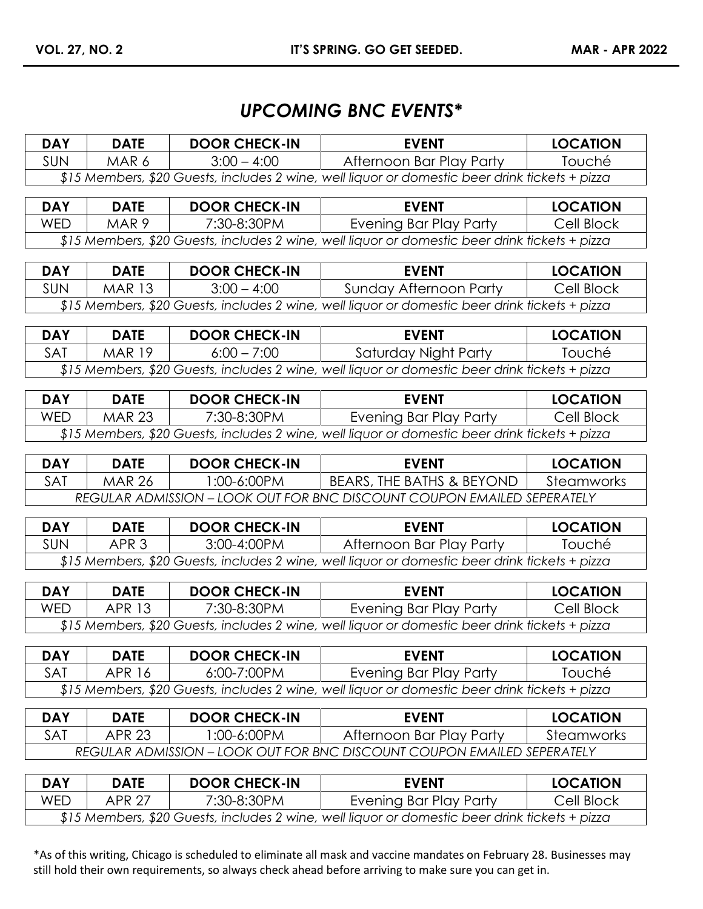## *UPCOMING BNC EVENTS\**

| <b>DAY</b>                                                                                     | <b>DATE</b>      | <b>DOOR CHECK-IN</b> | <b>EVENT</b>                                                                                                                    | <b>LOCATION</b> |
|------------------------------------------------------------------------------------------------|------------------|----------------------|---------------------------------------------------------------------------------------------------------------------------------|-----------------|
| SUN                                                                                            | MAR 6            | $3:00 - 4:00$        | Afternoon Bar Play Party                                                                                                        | Touché          |
|                                                                                                |                  |                      | \$15 Members, \$20 Guests, includes 2 wine, well liquor or domestic beer drink tickets + pizza                                  |                 |
|                                                                                                |                  |                      |                                                                                                                                 |                 |
| <b>DAY</b>                                                                                     | <b>DATE</b>      | <b>DOOR CHECK-IN</b> | <b>EVENT</b>                                                                                                                    | <b>LOCATION</b> |
| <b>WED</b>                                                                                     | MAR 9            | 7:30-8:30PM          | <b>Evening Bar Play Party</b>                                                                                                   | Cell Block      |
|                                                                                                |                  |                      | \$15 Members, \$20 Guests, includes 2 wine, well liquor or domestic beer drink tickets + pizza                                  |                 |
| <b>DAY</b>                                                                                     | <b>DATE</b>      | <b>DOOR CHECK-IN</b> | <b>EVENT</b>                                                                                                                    | <b>LOCATION</b> |
| SUN                                                                                            | <b>MAR 13</b>    | $3:00 - 4:00$        | <b>Sunday Afternoon Party</b>                                                                                                   | Cell Block      |
|                                                                                                |                  |                      | \$15 Members, \$20 Guests, includes 2 wine, well liquor or domestic beer drink tickets + pizza                                  |                 |
|                                                                                                |                  |                      |                                                                                                                                 |                 |
| <b>DAY</b>                                                                                     | <b>DATE</b>      | <b>DOOR CHECK-IN</b> | <b>EVENT</b>                                                                                                                    | <b>LOCATION</b> |
| SAT                                                                                            | <b>MAR 19</b>    | $6:00 - 7:00$        | Saturday Night Party                                                                                                            | Touché          |
|                                                                                                |                  |                      | \$15 Members, \$20 Guests, includes 2 wine, well liquor or domestic beer drink tickets + pizza                                  |                 |
| <b>DAY</b>                                                                                     | <b>DATE</b>      | <b>DOOR CHECK-IN</b> | <b>EVENT</b>                                                                                                                    | <b>LOCATION</b> |
| <b>WED</b>                                                                                     | <b>MAR 23</b>    |                      |                                                                                                                                 |                 |
|                                                                                                |                  | 7:30-8:30PM          | <b>Evening Bar Play Party</b><br>\$15 Members, \$20 Guests, includes 2 wine, well liquor or domestic beer drink tickets + pizza | Cell Block      |
|                                                                                                |                  |                      |                                                                                                                                 |                 |
| <b>DAY</b>                                                                                     | <b>DATE</b>      | <b>DOOR CHECK-IN</b> | <b>EVENT</b>                                                                                                                    | <b>LOCATION</b> |
| <b>SAT</b>                                                                                     | <b>MAR 26</b>    | 1:00-6:00PM          | BEARS, THE BATHS & BEYOND                                                                                                       | Steamworks      |
|                                                                                                |                  |                      | REGULAR ADMISSION - LOOK OUT FOR BNC DISCOUNT COUPON EMAILED SEPERATELY                                                         |                 |
|                                                                                                |                  |                      |                                                                                                                                 |                 |
| <b>DAY</b>                                                                                     | <b>DATE</b>      | <b>DOOR CHECK-IN</b> | <b>EVENT</b>                                                                                                                    | <b>LOCATION</b> |
| <b>SUN</b>                                                                                     | APR <sub>3</sub> | 3:00-4:00PM          | Afternoon Bar Play Party                                                                                                        | Touché          |
|                                                                                                |                  |                      | \$15 Members, \$20 Guests, includes 2 wine, well liquor or domestic beer drink tickets + pizza                                  |                 |
| <b>DAY</b>                                                                                     | <b>DATE</b>      | <b>DOOR CHECK-IN</b> | <b>EVENT</b>                                                                                                                    | <b>LOCATION</b> |
| <b>WED</b>                                                                                     | <b>APR 13</b>    | 7:30-8:30PM          | <b>Evening Bar Play Party</b>                                                                                                   | Cell Block      |
| \$15 Members, \$20 Guests, includes 2 wine, well liquor or domestic beer drink tickets + pizza |                  |                      |                                                                                                                                 |                 |
|                                                                                                |                  |                      |                                                                                                                                 |                 |
| <b>DAY</b>                                                                                     | <b>DATE</b>      | <b>DOOR CHECK-IN</b> | <b>EVENT</b>                                                                                                                    | <b>LOCATION</b> |
| <b>SAT</b>                                                                                     | <b>APR 16</b>    | 6:00-7:00PM          | Evening Bar Play Party                                                                                                          | Touché          |
|                                                                                                |                  |                      | \$15 Members, \$20 Guests, includes 2 wine, well liquor or domestic beer drink tickets + pizza                                  |                 |
| <b>DAY</b>                                                                                     | <b>DATE</b>      | <b>DOOR CHECK-IN</b> | <b>EVENT</b>                                                                                                                    | <b>LOCATION</b> |
| SAT                                                                                            | <b>APR 23</b>    | 1:00-6:00PM          | Afternoon Bar Play Party                                                                                                        | Steamworks      |
|                                                                                                |                  |                      | <b>REGULAR ADMISSION - LOOK OUT FOR BNC DISCOUNT COUPON EMAILED SEPERATELY</b>                                                  |                 |
|                                                                                                |                  |                      |                                                                                                                                 |                 |
| <b>DAY</b>                                                                                     | <b>DATE</b>      | <b>DOOR CHECK-IN</b> | <b>EVENT</b>                                                                                                                    | <b>LOCATION</b> |
| <b>WED</b>                                                                                     | <b>APR 27</b>    | 7:30-8:30PM          | <b>Evening Bar Play Party</b>                                                                                                   | Cell Block      |

*\$15 Members, \$20 Guests, includes 2 wine, well liquor or domestic beer drink tickets + pizza*

\*As of this writing, Chicago is scheduled to eliminate all mask and vaccine mandates on February 28. Businesses may still hold their own requirements, so always check ahead before arriving to make sure you can get in.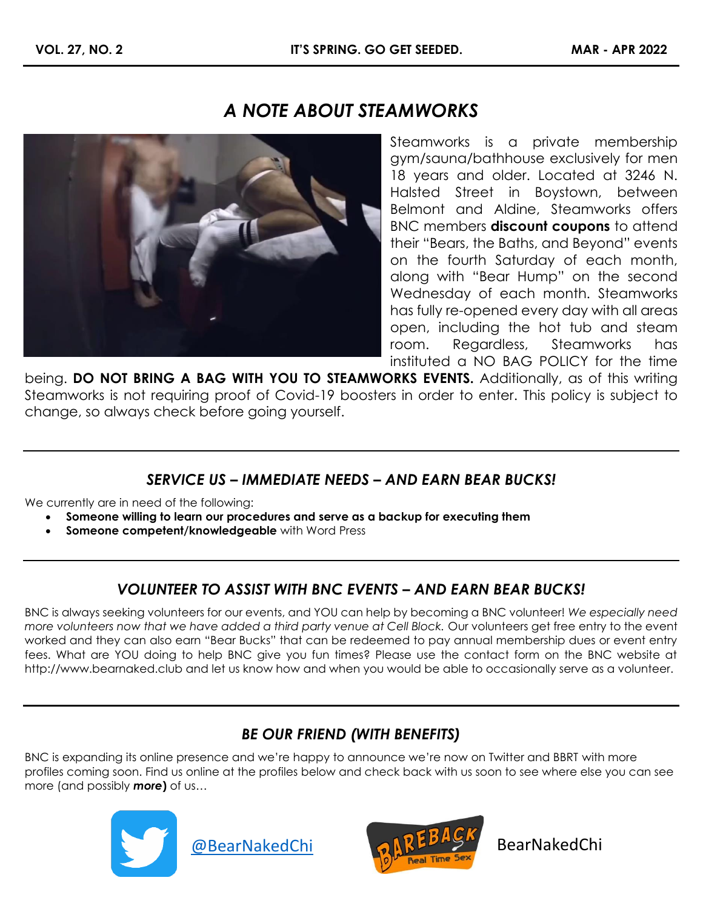## *A NOTE ABOUT STEAMWORKS*



Steamworks is a private membership gym/sauna/bathhouse exclusively for men 18 years and older. Located at 3246 N. Halsted Street in Boystown, between Belmont and Aldine, Steamworks offers BNC members **discount coupons** to attend their "Bears, the Baths, and Beyond" events on the fourth Saturday of each month, along with "Bear Hump" on the second Wednesday of each month. Steamworks has fully re-opened every day with all areas open, including the hot tub and steam room. Regardless, Steamworks has instituted a NO BAG POLICY for the time

being. **DO NOT BRING A BAG WITH YOU TO STEAMWORKS EVENTS.** Additionally, as of this writing Steamworks is not requiring proof of Covid-19 boosters in order to enter. This policy is subject to change, so always check before going yourself.

#### *SERVICE US – IMMEDIATE NEEDS – AND EARN BEAR BUCKS!*

We currently are in need of the following:

- **Someone willing to learn our procedures and serve as a backup for executing them**
- **Someone competent/knowledgeable** with Word Press

## *VOLUNTEER TO ASSIST WITH BNC EVENTS – AND EARN BEAR BUCKS!*

BNC is always seeking volunteers for our events, and YOU can help by becoming a BNC volunteer! *We especially need more volunteers now that we have added a third party venue at Cell Block.* Our volunteers get free entry to the event worked and they can also earn "Bear Bucks" that can be redeemed to pay annual membership dues or event entry fees. What are YOU doing to help BNC give you fun times? Please use the contact form on the BNC website at [http://www.bearnaked.club](http://www.bearnaked.club/) and let us know how and when you would be able to occasionally serve as a volunteer.

## *BE OUR FRIEND (WITH BENEFITS)*

BNC is expanding its online presence and we're happy to announce we're now on Twitter and BBRT with more profiles coming soon. Find us online at the profiles below and check back with us soon to see where else you can see more (and possibly *more***)** of us…